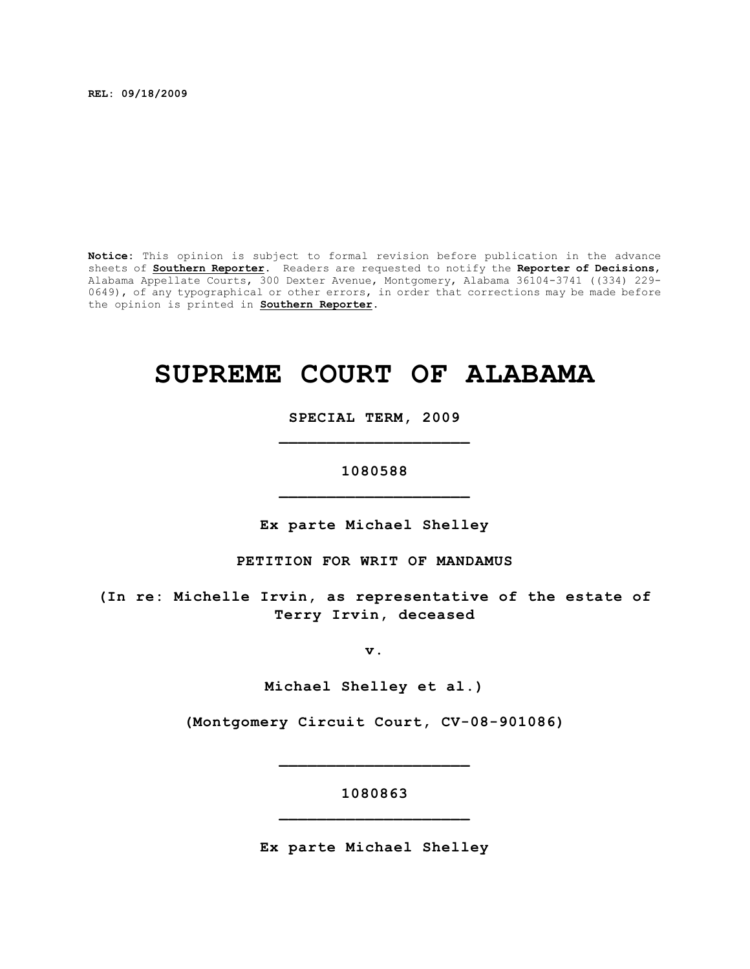**REL: 09/18/2009**

**Notice:** This opinion is subject to formal revision before publication in the advance sheets of **Southern Reporter**. Readers are requested to notify the **Reporter of Decisions**, Alabama Appellate Courts, 300 Dexter Avenue, Montgomery, Alabama 36104-3741 ((334) 229- 0649), of any typographical or other errors, in order that corrections may be made before the opinion is printed in **Southern Reporter**.

# **SUPREME COURT OF ALABAMA**

**SPECIAL TERM, 2009 \_\_\_\_\_\_\_\_\_\_\_\_\_\_\_\_\_\_\_\_**

**1080588 \_\_\_\_\_\_\_\_\_\_\_\_\_\_\_\_\_\_\_\_**

**Ex parte Michael Shelley**

**PETITION FOR WRIT OF MANDAMUS**

**(In re: Michelle Irvin, as representative of the estate of Terry Irvin, deceased**

**v.**

**Michael Shelley et al.)**

**(Montgomery Circuit Court, CV-08-901086)**

**\_\_\_\_\_\_\_\_\_\_\_\_\_\_\_\_\_\_\_\_**

**1080863 \_\_\_\_\_\_\_\_\_\_\_\_\_\_\_\_\_\_\_\_**

**Ex parte Michael Shelley**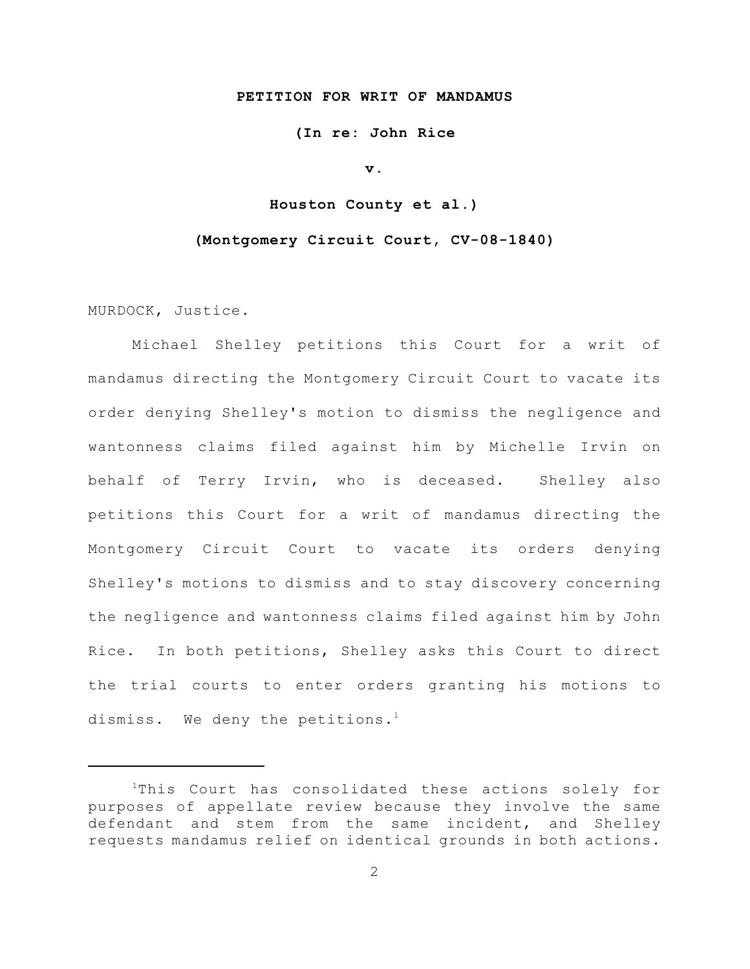#### **PETITION FOR WRIT OF MANDAMUS**

**(In re: John Rice**

**v.**

**Houston County et al.)**

#### **(Montgomery Circuit Court, CV-08-1840)**

MURDOCK, Justice.

Michael Shelley petitions this Court for a writ of mandamus directing the Montgomery Circuit Court to vacate its order denying Shelley's motion to dismiss the negligence and wantonness claims filed against him by Michelle Irvin on behalf of Terry Irvin, who is deceased. Shelley also petitions this Court for a writ of mandamus directing the Montgomery Circuit Court to vacate its orders denying Shelley's motions to dismiss and to stay discovery concerning the negligence and wantonness claims filed against him by John Rice. In both petitions, Shelley asks this Court to direct the trial courts to enter orders granting his motions to dismiss. We deny the petitions.<sup>1</sup>

 $1$ This Court has consolidated these actions solely for purposes of appellate review because they involve the same defendant and stem from the same incident, and Shelley requests mandamus relief on identical grounds in both actions.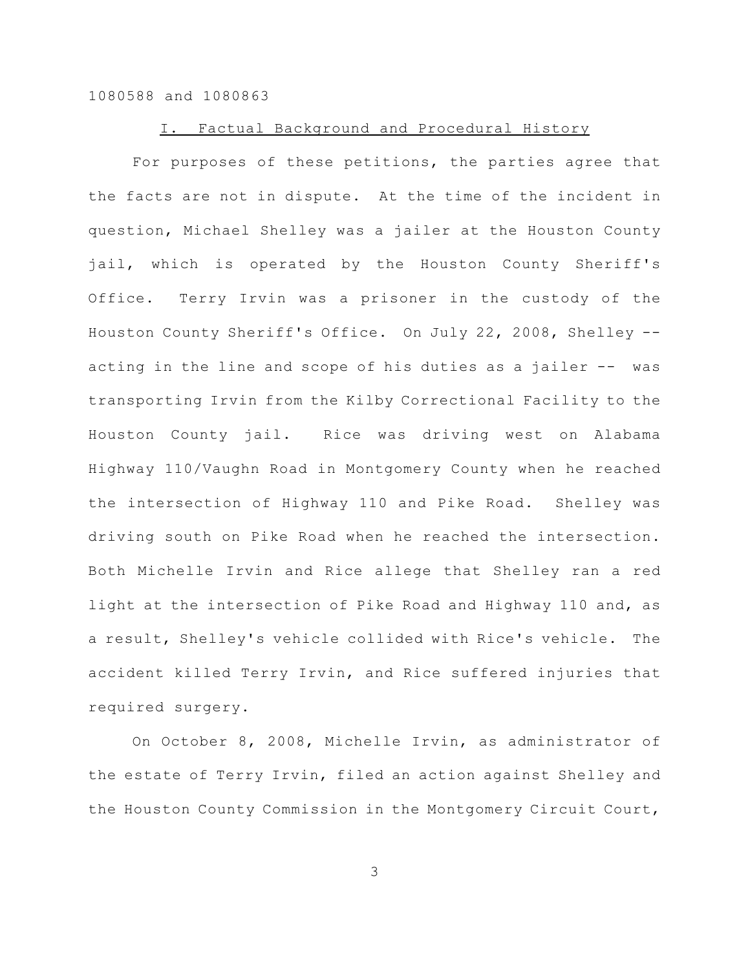#### I. Factual Background and Procedural History

For purposes of these petitions, the parties agree that the facts are not in dispute. At the time of the incident in question, Michael Shelley was a jailer at the Houston County jail, which is operated by the Houston County Sheriff's Office. Terry Irvin was a prisoner in the custody of the Houston County Sheriff's Office. On July 22, 2008, Shelley - acting in the line and scope of his duties as a jailer -- was transporting Irvin from the Kilby Correctional Facility to the Houston County jail. Rice was driving west on Alabama Highway 110/Vaughn Road in Montgomery County when he reached the intersection of Highway 110 and Pike Road. Shelley was driving south on Pike Road when he reached the intersection. Both Michelle Irvin and Rice allege that Shelley ran a red light at the intersection of Pike Road and Highway 110 and, as a result, Shelley's vehicle collided with Rice's vehicle. The accident killed Terry Irvin, and Rice suffered injuries that required surgery.

On October 8, 2008, Michelle Irvin, as administrator of the estate of Terry Irvin, filed an action against Shelley and the Houston County Commission in the Montgomery Circuit Court,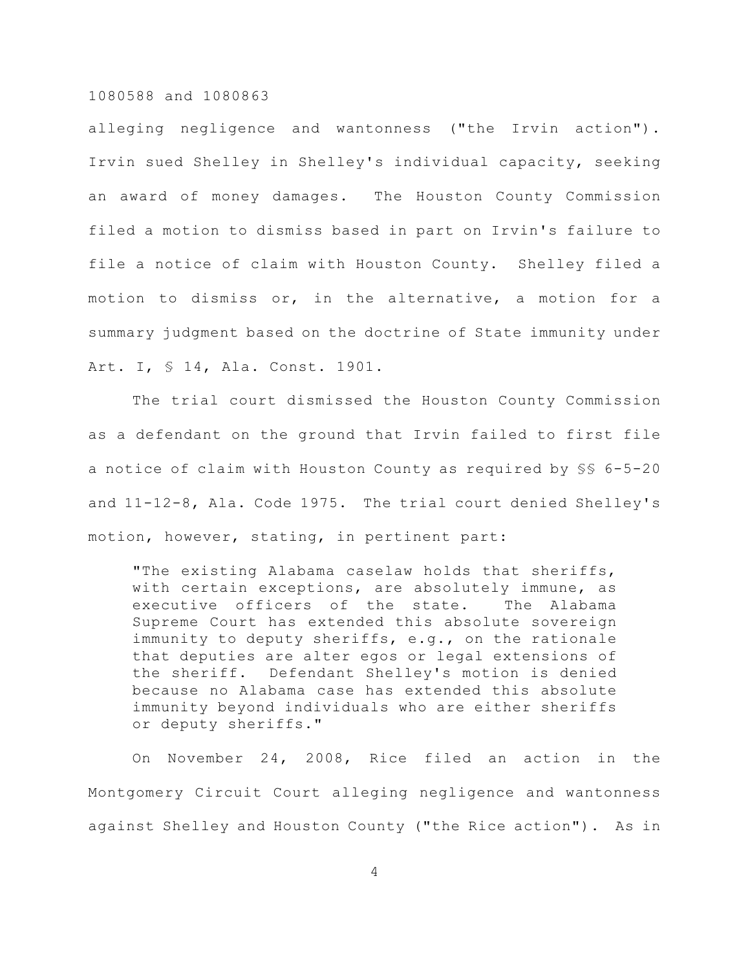alleging negligence and wantonness ("the Irvin action"). Irvin sued Shelley in Shelley's individual capacity, seeking an award of money damages. The Houston County Commission filed a motion to dismiss based in part on Irvin's failure to file a notice of claim with Houston County. Shelley filed a motion to dismiss or, in the alternative, a motion for a summary judgment based on the doctrine of State immunity under Art. I, § 14, Ala. Const. 1901.

The trial court dismissed the Houston County Commission as a defendant on the ground that Irvin failed to first file a notice of claim with Houston County as required by §§ 6-5-20 and 11-12-8, Ala. Code 1975. The trial court denied Shelley's motion, however, stating, in pertinent part:

"The existing Alabama caselaw holds that sheriffs, with certain exceptions, are absolutely immune, as executive officers of the state. The Alabama Supreme Court has extended this absolute sovereign immunity to deputy sheriffs, e.g., on the rationale that deputies are alter egos or legal extensions of the sheriff. Defendant Shelley's motion is denied because no Alabama case has extended this absolute immunity beyond individuals who are either sheriffs or deputy sheriffs."

On November 24, 2008, Rice filed an action in the Montgomery Circuit Court alleging negligence and wantonness against Shelley and Houston County ("the Rice action"). As in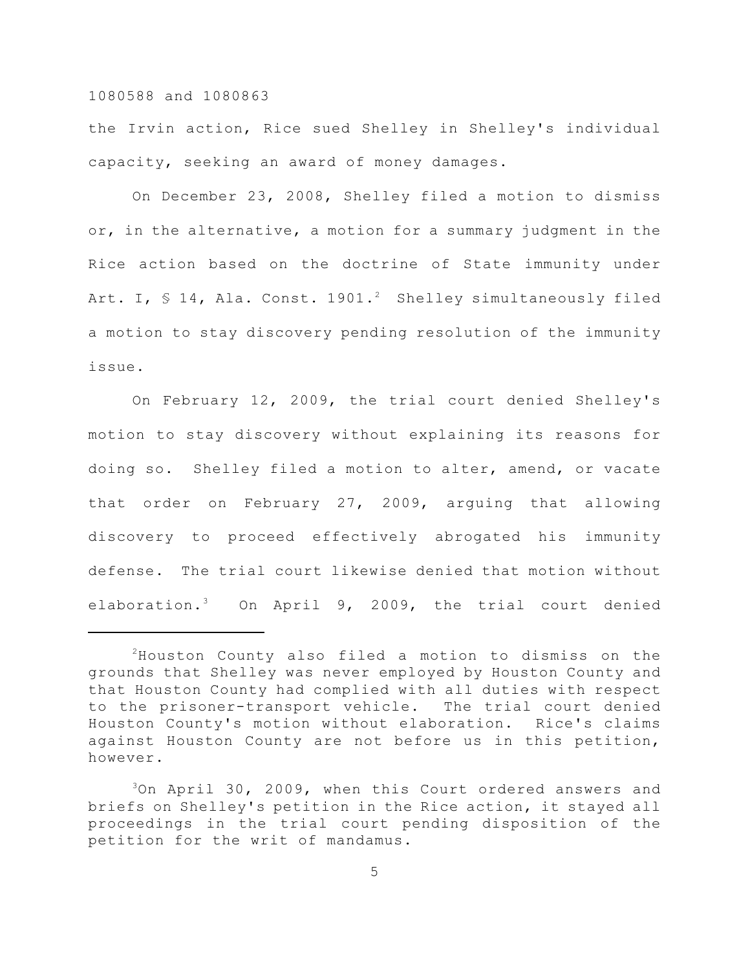the Irvin action, Rice sued Shelley in Shelley's individual capacity, seeking an award of money damages.

On December 23, 2008, Shelley filed a motion to dismiss or, in the alternative, a motion for a summary judgment in the Rice action based on the doctrine of State immunity under Art. I,  $\frac{1}{2}$  14, Ala. Const. 1901.<sup>2</sup> Shelley simultaneously filed a motion to stay discovery pending resolution of the immunity issue.

On February 12, 2009, the trial court denied Shelley's motion to stay discovery without explaining its reasons for doing so. Shelley filed a motion to alter, amend, or vacate that order on February 27, 2009, arguing that allowing discovery to proceed effectively abrogated his immunity defense. The trial court likewise denied that motion without elaboration.<sup>3</sup> On April 9, 2009, the trial court denied

 ${}^{2}$ Houston County also filed a motion to dismiss on the grounds that Shelley was never employed by Houston County and that Houston County had complied with all duties with respect to the prisoner-transport vehicle. The trial court denied Houston County's motion without elaboration. Rice's claims against Houston County are not before us in this petition, however.

 $3$ On April 30, 2009, when this Court ordered answers and briefs on Shelley's petition in the Rice action, it stayed all proceedings in the trial court pending disposition of the petition for the writ of mandamus.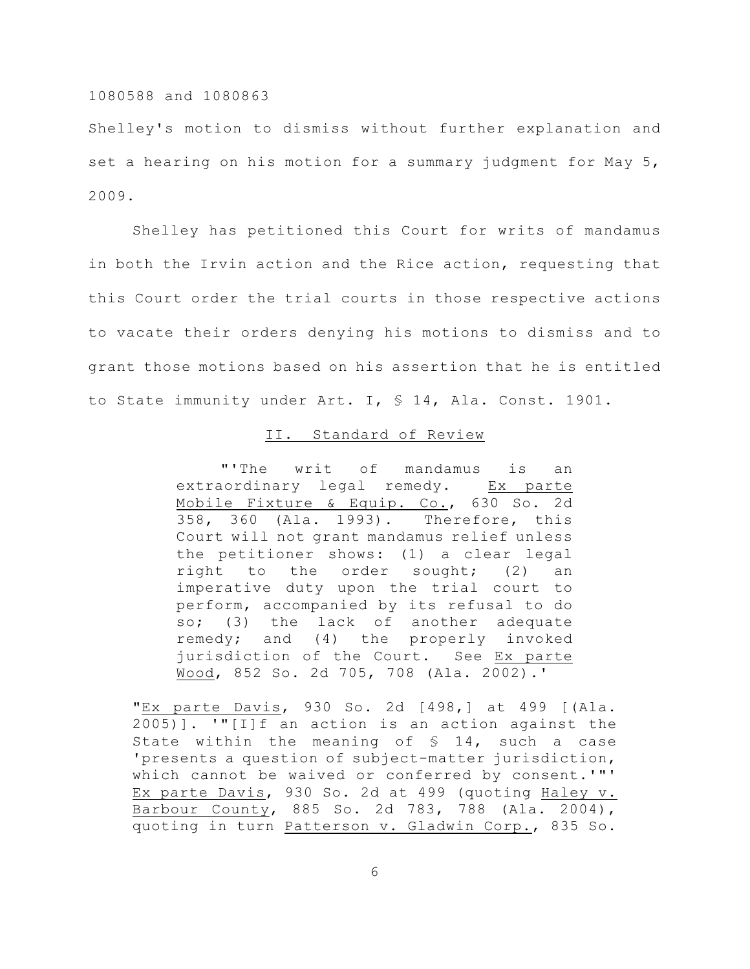Shelley's motion to dismiss without further explanation and set a hearing on his motion for a summary judgment for May 5, 2009.

Shelley has petitioned this Court for writs of mandamus in both the Irvin action and the Rice action, requesting that this Court order the trial courts in those respective actions to vacate their orders denying his motions to dismiss and to grant those motions based on his assertion that he is entitled to State immunity under Art. I, § 14, Ala. Const. 1901.

#### II. Standard of Review

"'The writ of mandamus is an extraordinary legal remedy. Ex parte Mobile Fixture & Equip. Co., 630 So. 2d 358, 360 (Ala. 1993). Therefore, this Court will not grant mandamus relief unless the petitioner shows: (1) a clear legal right to the order sought; (2) an imperative duty upon the trial court to perform, accompanied by its refusal to do so; (3) the lack of another adequate remedy; and (4) the properly invoked jurisdiction of the Court. See Ex parte Wood, 852 So. 2d 705, 708 (Ala. 2002).'

"Ex parte Davis, 930 So. 2d [498,] at 499 [(Ala. 2005)]. '"[I]f an action is an action against the State within the meaning of  $\frac{1}{2}$  14, such a case 'presents a question of subject-matter jurisdiction, which cannot be waived or conferred by consent.'"' Ex parte Davis, 930 So. 2d at 499 (quoting Haley v. Barbour County, 885 So. 2d 783, 788 (Ala. 2004), quoting in turn Patterson v. Gladwin Corp., 835 So.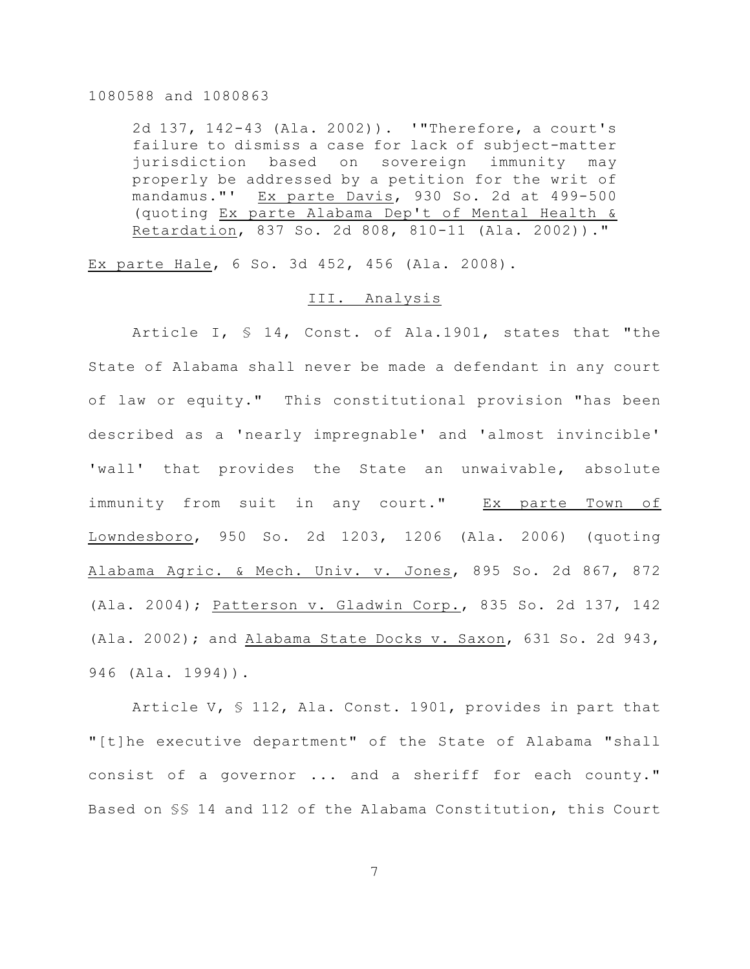2d 137, 142-43 (Ala. 2002)). '"Therefore, a court's failure to dismiss a case for lack of subject-matter jurisdiction based on sovereign immunity may properly be addressed by a petition for the writ of mandamus."' Ex parte Davis, 930 So. 2d at 499-500 (quoting Ex parte Alabama Dep't of Mental Health & Retardation, 837 So. 2d 808, 810-11 (Ala. 2002))."

Ex parte Hale, 6 So. 3d 452, 456 (Ala. 2008).

#### III. Analysis

Article I, § 14, Const. of Ala.1901, states that "the State of Alabama shall never be made a defendant in any court of law or equity." This constitutional provision "has been described as a 'nearly impregnable' and 'almost invincible' 'wall' that provides the State an unwaivable, absolute immunity from suit in any court." Ex parte Town of Lowndesboro, 950 So. 2d 1203, 1206 (Ala. 2006) (quoting Alabama Agric. & Mech. Univ. v. Jones, 895 So. 2d 867, 872 (Ala. 2004); Patterson v. Gladwin Corp., 835 So. 2d 137, 142 (Ala. 2002); and Alabama State Docks v. Saxon, 631 So. 2d 943, 946 (Ala. 1994)).

Article V, § 112, Ala. Const. 1901, provides in part that "[t]he executive department" of the State of Alabama "shall consist of a governor ... and a sheriff for each county." Based on §§ 14 and 112 of the Alabama Constitution, this Court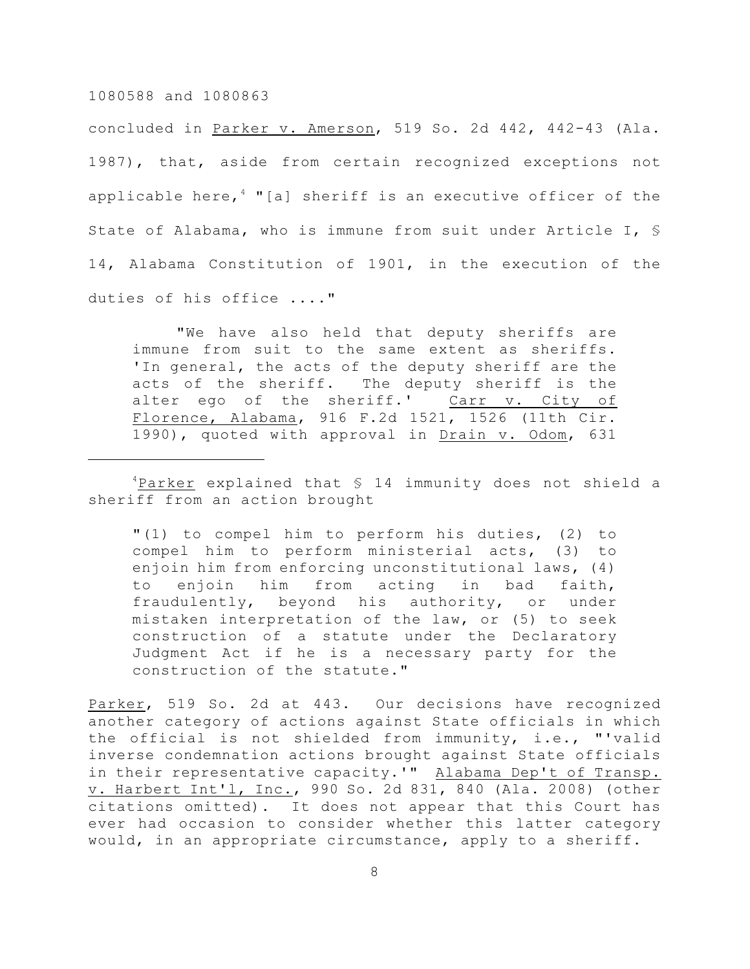concluded in Parker v. Amerson, 519 So. 2d 442, 442-43 (Ala. 1987), that, aside from certain recognized exceptions not applicable here,  $4$  "[a] sheriff is an executive officer of the State of Alabama, who is immune from suit under Article I, § 14, Alabama Constitution of 1901, in the execution of the duties of his office ...."

"We have also held that deputy sheriffs are immune from suit to the same extent as sheriffs. 'In general, the acts of the deputy sheriff are the acts of the sheriff. The deputy sheriff is the alter ego of the sheriff.' Carr v. City of Florence, Alabama, 916 F.2d 1521, 1526 (11th Cir. 1990), quoted with approval in Drain v. Odom, 631

 $4$ Parker explained that  $5$  14 immunity does not shield a sheriff from an action brought

"(1) to compel him to perform his duties, (2) to compel him to perform ministerial acts, (3) to enjoin him from enforcing unconstitutional laws, (4) to enjoin him from acting in bad faith, fraudulently, beyond his authority, or under mistaken interpretation of the law, or (5) to seek construction of a statute under the Declaratory Judgment Act if he is a necessary party for the construction of the statute."

Parker, 519 So. 2d at 443. Our decisions have recognized another category of actions against State officials in which the official is not shielded from immunity, i.e., "'valid inverse condemnation actions brought against State officials in their representative capacity.'" Alabama Dep't of Transp. v. Harbert Int'l, Inc., 990 So. 2d 831, 840 (Ala. 2008) (other citations omitted). It does not appear that this Court has ever had occasion to consider whether this latter category would, in an appropriate circumstance, apply to a sheriff.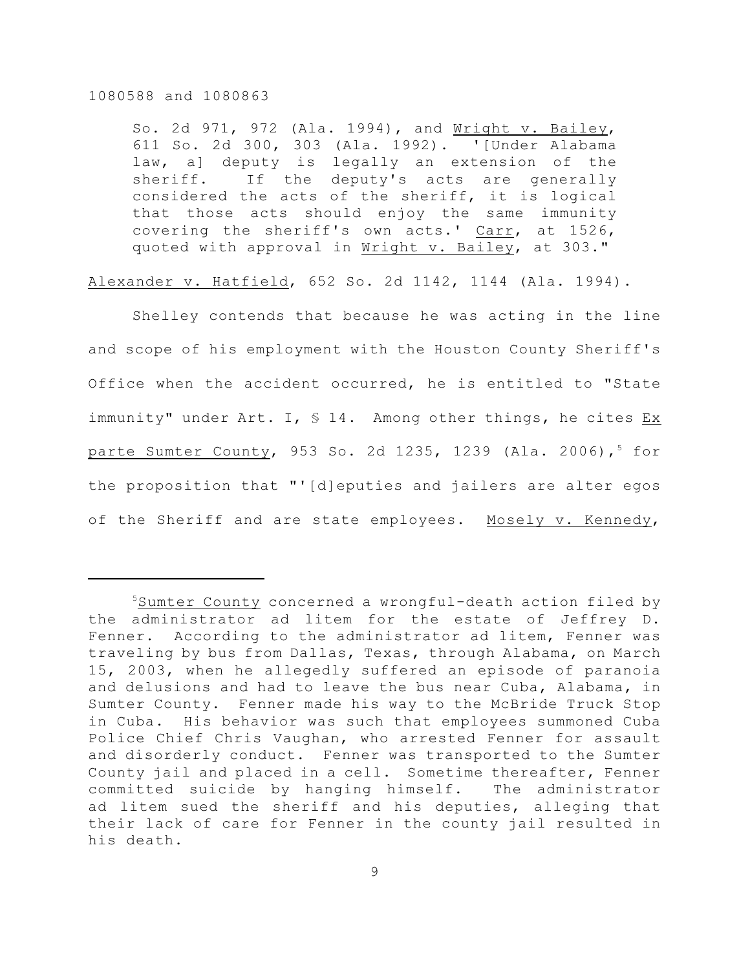So. 2d 971, 972 (Ala. 1994), and Wright v. Bailey, 611 So. 2d 300, 303 (Ala. 1992). '[Under Alabama law, a] deputy is legally an extension of the sheriff. If the deputy's acts are generally considered the acts of the sheriff, it is logical that those acts should enjoy the same immunity covering the sheriff's own acts.' Carr, at 1526, quoted with approval in Wright v. Bailey, at 303."

Alexander v. Hatfield, 652 So. 2d 1142, 1144 (Ala. 1994).

Shelley contends that because he was acting in the line and scope of his employment with the Houston County Sheriff's Office when the accident occurred, he is entitled to "State immunity" under Art. I, § 14. Among other things, he cites Ex parte Sumter County, 953 So. 2d 1235, 1239 (Ala. 2006),<sup>5</sup> for the proposition that "'[d]eputies and jailers are alter egos of the Sheriff and are state employees. Mosely v. Kennedy,

 $5$ Sumter County concerned a wrongful-death action filed by the administrator ad litem for the estate of Jeffrey D. Fenner. According to the administrator ad litem, Fenner was traveling by bus from Dallas, Texas, through Alabama, on March 15, 2003, when he allegedly suffered an episode of paranoia and delusions and had to leave the bus near Cuba, Alabama, in Sumter County. Fenner made his way to the McBride Truck Stop in Cuba. His behavior was such that employees summoned Cuba Police Chief Chris Vaughan, who arrested Fenner for assault and disorderly conduct. Fenner was transported to the Sumter County jail and placed in a cell. Sometime thereafter, Fenner committed suicide by hanging himself. The administrator ad litem sued the sheriff and his deputies, alleging that their lack of care for Fenner in the county jail resulted in his death.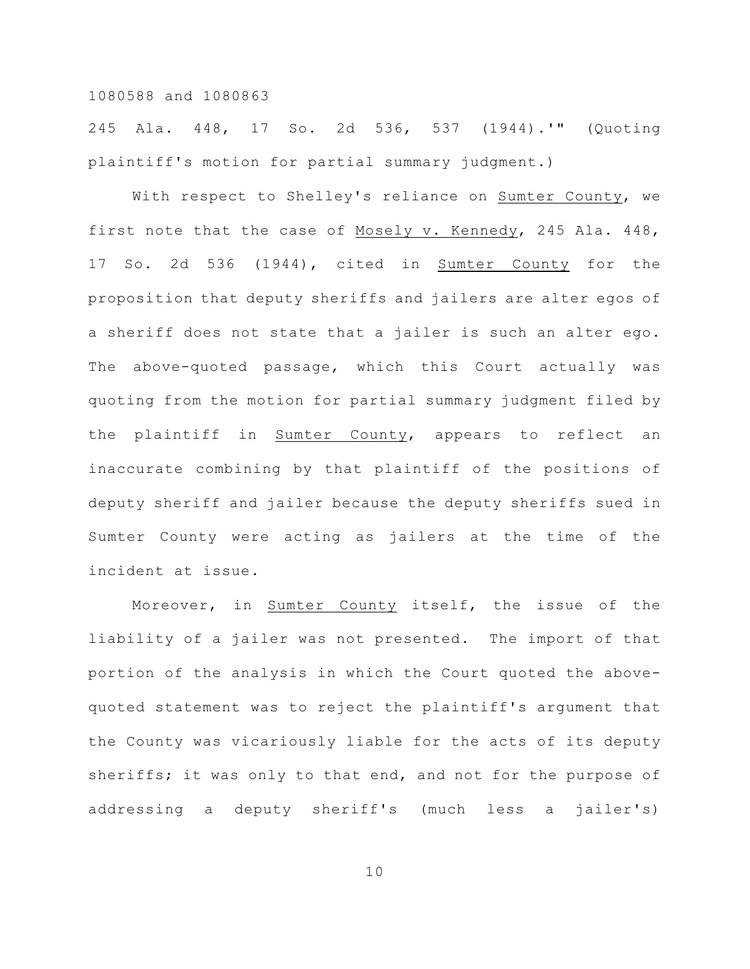245 Ala. 448, 17 So. 2d 536, 537 (1944).'" (Quoting plaintiff's motion for partial summary judgment.)

With respect to Shelley's reliance on Sumter County, we first note that the case of Mosely v. Kennedy, 245 Ala. 448, 17 So. 2d 536 (1944), cited in Sumter County for the proposition that deputy sheriffs and jailers are alter egos of a sheriff does not state that a jailer is such an alter ego. The above-quoted passage, which this Court actually was quoting from the motion for partial summary judgment filed by the plaintiff in Sumter County, appears to reflect an inaccurate combining by that plaintiff of the positions of deputy sheriff and jailer because the deputy sheriffs sued in Sumter County were acting as jailers at the time of the incident at issue.

Moreover, in Sumter County itself, the issue of the liability of a jailer was not presented. The import of that portion of the analysis in which the Court quoted the abovequoted statement was to reject the plaintiff's argument that the County was vicariously liable for the acts of its deputy sheriffs; it was only to that end, and not for the purpose of addressing a deputy sheriff's (much less a jailer's)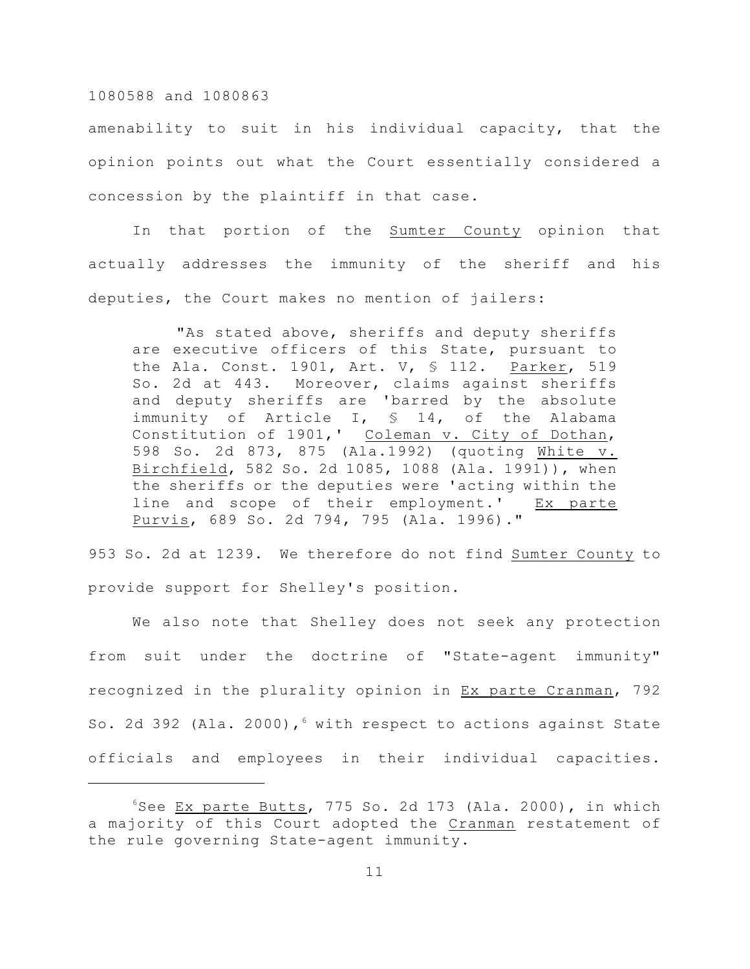amenability to suit in his individual capacity, that the opinion points out what the Court essentially considered a concession by the plaintiff in that case.

In that portion of the Sumter County opinion that actually addresses the immunity of the sheriff and his deputies, the Court makes no mention of jailers:

"As stated above, sheriffs and deputy sheriffs are executive officers of this State, pursuant to the Ala. Const. 1901, Art. V, § 112. Parker, 519 So. 2d at 443. Moreover, claims against sheriffs and deputy sheriffs are 'barred by the absolute immunity of Article I, § 14, of the Alabama Constitution of 1901,' Coleman v. City of Dothan, 598 So. 2d 873, 875 (Ala.1992) (quoting White v. Birchfield, 582 So. 2d 1085, 1088 (Ala. 1991)), when the sheriffs or the deputies were 'acting within the line and scope of their employment.' Ex parte Purvis, 689 So. 2d 794, 795 (Ala. 1996)."

953 So. 2d at 1239. We therefore do not find Sumter County to provide support for Shelley's position.

We also note that Shelley does not seek any protection from suit under the doctrine of "State-agent immunity" recognized in the plurality opinion in Ex parte Cranman, 792 So. 2d 392 (Ala. 2000),  $6$  with respect to actions against State officials and employees in their individual capacities.

 $6$ See Ex parte Butts, 775 So. 2d 173 (Ala. 2000), in which a majority of this Court adopted the Cranman restatement of the rule governing State-agent immunity.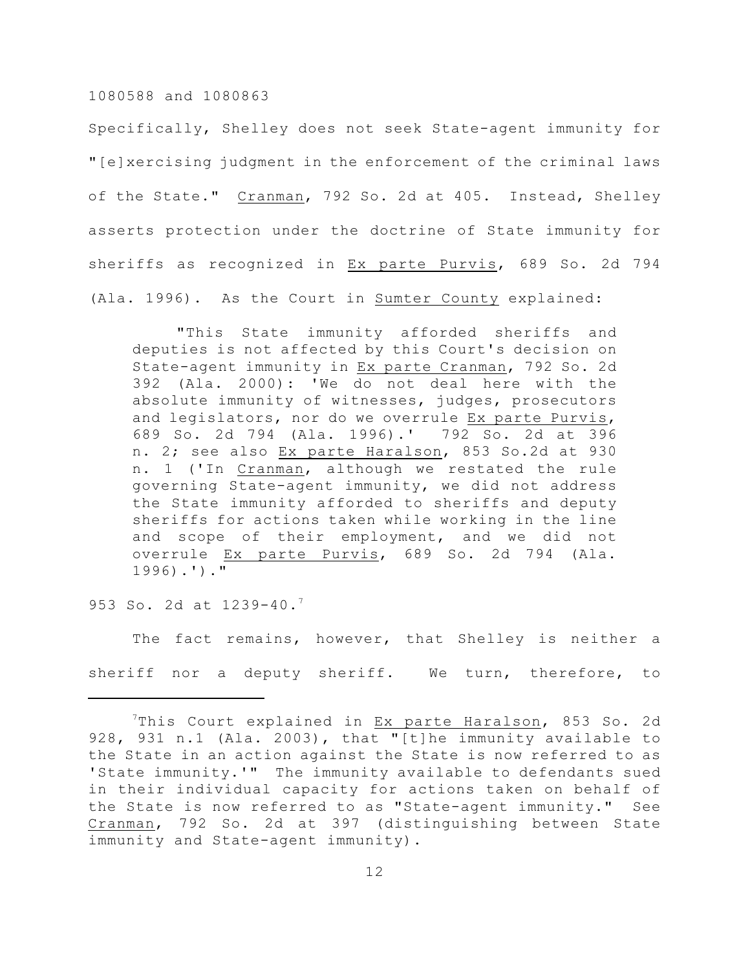Specifically, Shelley does not seek State-agent immunity for "[e]xercising judgment in the enforcement of the criminal laws of the State." Cranman, 792 So. 2d at 405. Instead, Shelley asserts protection under the doctrine of State immunity for sheriffs as recognized in Ex parte Purvis, 689 So. 2d 794 (Ala. 1996). As the Court in Sumter County explained:

"This State immunity afforded sheriffs and deputies is not affected by this Court's decision on State-agent immunity in Ex parte Cranman, 792 So. 2d 392 (Ala. 2000): 'We do not deal here with the absolute immunity of witnesses, judges, prosecutors and legislators, nor do we overrule Ex parte Purvis, 689 So. 2d 794 (Ala. 1996).' 792 So. 2d at 396 n. 2; see also Ex parte Haralson, 853 So.2d at 930 n. 1 ('In Cranman, although we restated the rule governing State-agent immunity, we did not address the State immunity afforded to sheriffs and deputy sheriffs for actions taken while working in the line and scope of their employment, and we did not overrule Ex parte Purvis, 689 So. 2d 794 (Ala. 1996).')."

953 So. 2d at 1239-40.<sup>7</sup>

The fact remains, however, that Shelley is neither a sheriff nor a deputy sheriff. We turn, therefore, to

 $7$ This Court explained in Ex parte Haralson, 853 So. 2d 928, 931 n.1 (Ala. 2003), that "[t]he immunity available to the State in an action against the State is now referred to as 'State immunity.'" The immunity available to defendants sued in their individual capacity for actions taken on behalf of the State is now referred to as "State-agent immunity." See Cranman, 792 So. 2d at 397 (distinguishing between State immunity and State-agent immunity).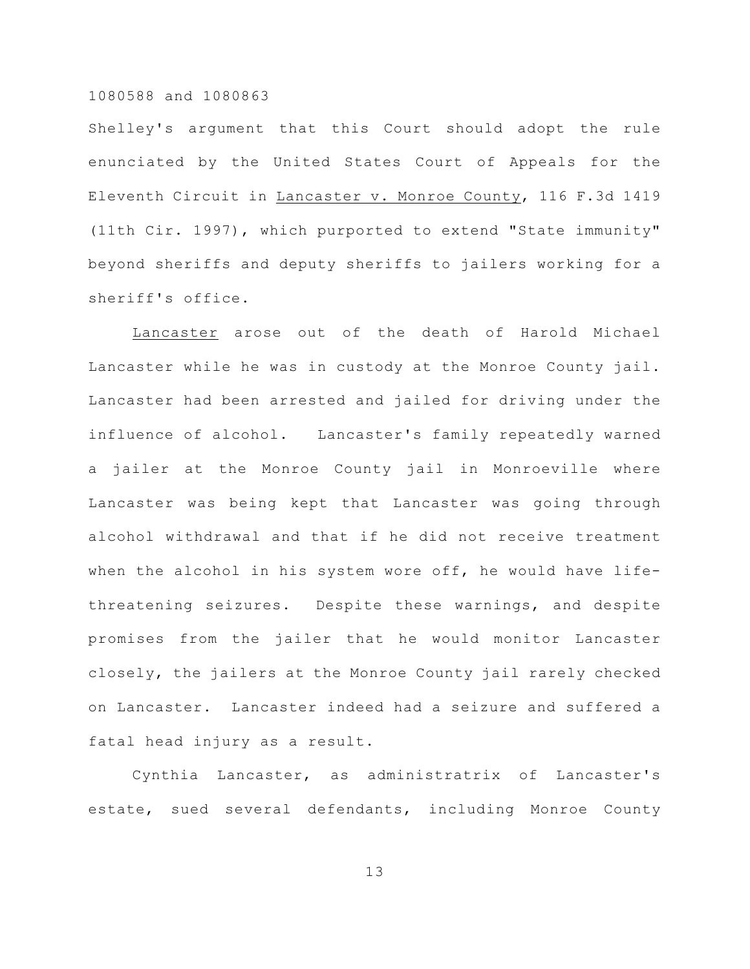Shelley's argument that this Court should adopt the rule enunciated by the United States Court of Appeals for the Eleventh Circuit in Lancaster v. Monroe County, 116 F.3d 1419 (11th Cir. 1997), which purported to extend "State immunity" beyond sheriffs and deputy sheriffs to jailers working for a sheriff's office.

Lancaster arose out of the death of Harold Michael Lancaster while he was in custody at the Monroe County jail. Lancaster had been arrested and jailed for driving under the influence of alcohol. Lancaster's family repeatedly warned a jailer at the Monroe County jail in Monroeville where Lancaster was being kept that Lancaster was going through alcohol withdrawal and that if he did not receive treatment when the alcohol in his system wore off, he would have lifethreatening seizures. Despite these warnings, and despite promises from the jailer that he would monitor Lancaster closely, the jailers at the Monroe County jail rarely checked on Lancaster. Lancaster indeed had a seizure and suffered a fatal head injury as a result.

Cynthia Lancaster, as administratrix of Lancaster's estate, sued several defendants, including Monroe County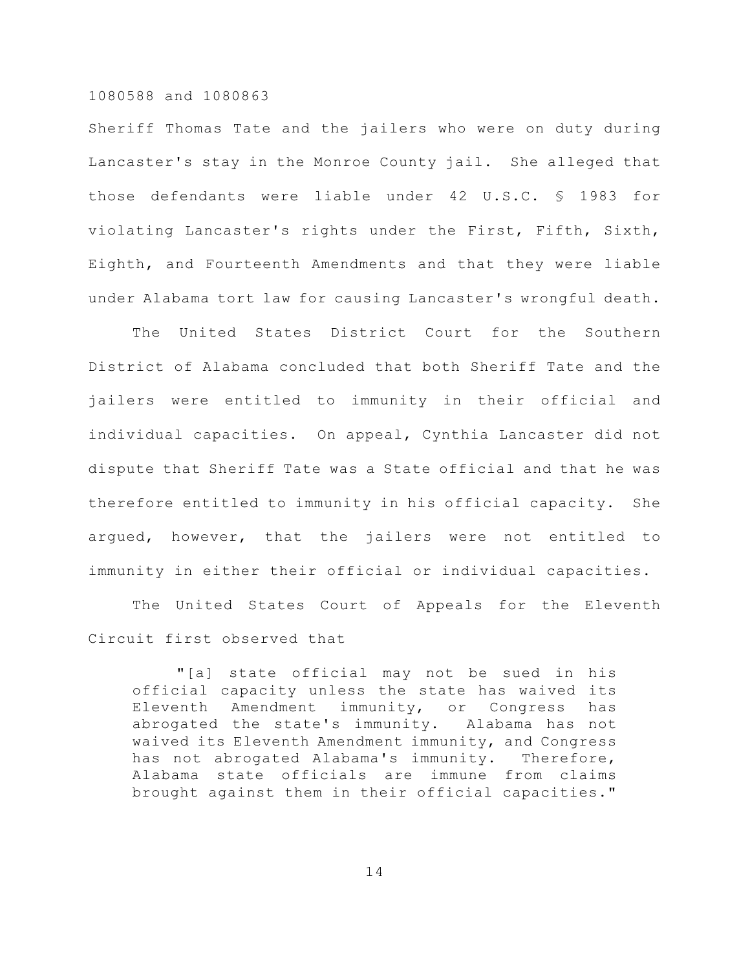Sheriff Thomas Tate and the jailers who were on duty during Lancaster's stay in the Monroe County jail. She alleged that those defendants were liable under 42 U.S.C. § 1983 for violating Lancaster's rights under the First, Fifth, Sixth, Eighth, and Fourteenth Amendments and that they were liable under Alabama tort law for causing Lancaster's wrongful death.

The United States District Court for the Southern District of Alabama concluded that both Sheriff Tate and the jailers were entitled to immunity in their official and individual capacities. On appeal, Cynthia Lancaster did not dispute that Sheriff Tate was a State official and that he was therefore entitled to immunity in his official capacity. She argued, however, that the jailers were not entitled to immunity in either their official or individual capacities.

The United States Court of Appeals for the Eleventh Circuit first observed that

"[a] state official may not be sued in his official capacity unless the state has waived its Eleventh Amendment immunity, or Congress has abrogated the state's immunity. Alabama has not waived its Eleventh Amendment immunity, and Congress has not abrogated Alabama's immunity. Therefore, Alabama state officials are immune from claims brought against them in their official capacities."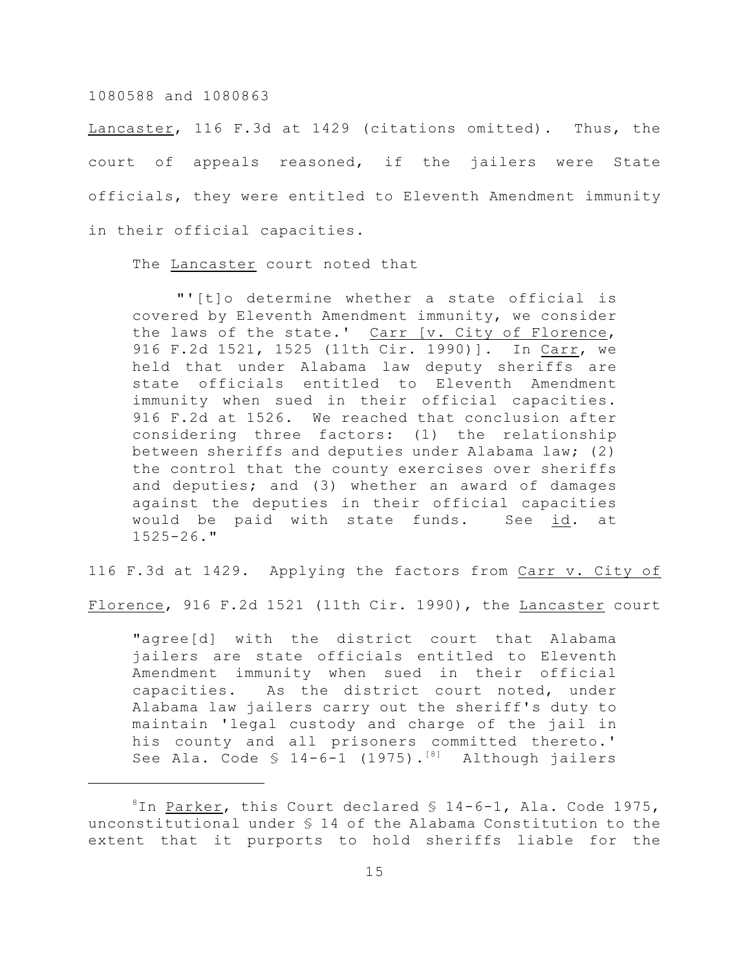Lancaster, 116 F.3d at 1429 (citations omitted). Thus, the court of appeals reasoned, if the jailers were State officials, they were entitled to Eleventh Amendment immunity in their official capacities.

The Lancaster court noted that

"'[t]o determine whether a state official is covered by Eleventh Amendment immunity, we consider the laws of the state.' Carr [v. City of Florence, 916 F.2d 1521, 1525 (11th Cir. 1990)]. In Carr, we held that under Alabama law deputy sheriffs are state officials entitled to Eleventh Amendment immunity when sued in their official capacities. 916 F.2d at 1526. We reached that conclusion after considering three factors: (1) the relationship between sheriffs and deputies under Alabama law; (2) the control that the county exercises over sheriffs and deputies; and (3) whether an award of damages against the deputies in their official capacities would be paid with state funds. See id. at  $1525 - 26.$  "

116 F.3d at 1429. Applying the factors from Carr v. City of

Florence, 916 F.2d 1521 (11th Cir. 1990), the Lancaster court

"agree[d] with the district court that Alabama jailers are state officials entitled to Eleventh Amendment immunity when sued in their official capacities. As the district court noted, under Alabama law jailers carry out the sheriff's duty to maintain 'legal custody and charge of the jail in his county and all prisoners committed thereto.' See Ala. Code  $$ 14-6-1$  (1975).<sup>[8]</sup> Although jailers

 ${}^{8}$ In Parker, this Court declared  $\S$  14-6-1, Ala. Code 1975, unconstitutional under § 14 of the Alabama Constitution to the extent that it purports to hold sheriffs liable for the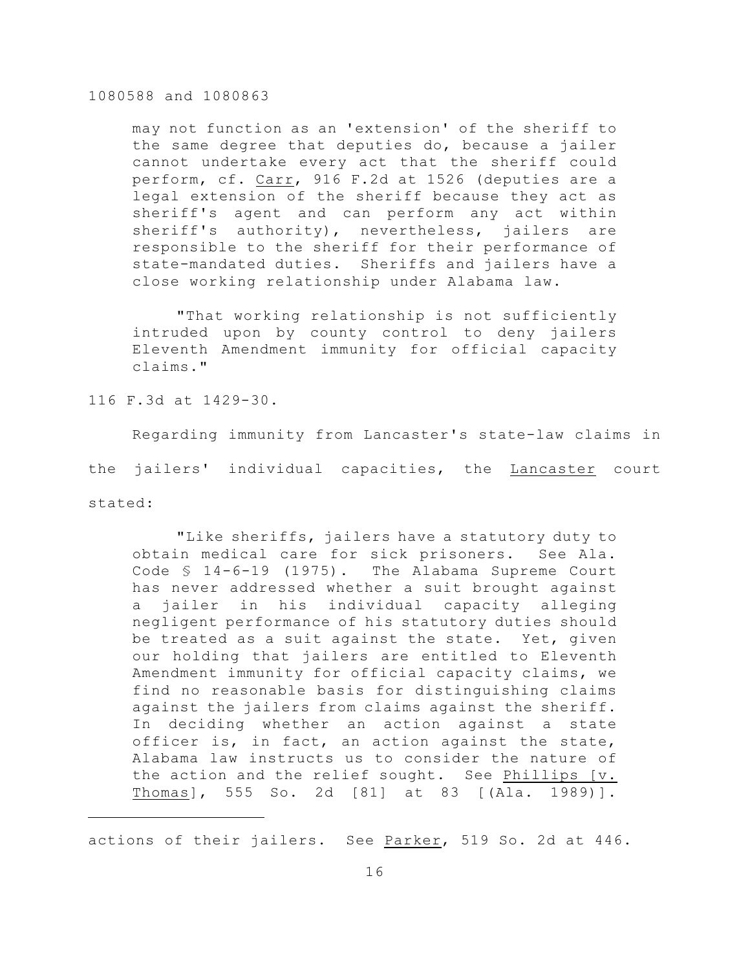may not function as an 'extension' of the sheriff to the same degree that deputies do, because a jailer cannot undertake every act that the sheriff could perform, cf. Carr, 916 F.2d at 1526 (deputies are a legal extension of the sheriff because they act as sheriff's agent and can perform any act within sheriff's authority), nevertheless, jailers are responsible to the sheriff for their performance of state-mandated duties. Sheriffs and jailers have a close working relationship under Alabama law.

"That working relationship is not sufficiently intruded upon by county control to deny jailers Eleventh Amendment immunity for official capacity claims."

116 F.3d at 1429-30.

Regarding immunity from Lancaster's state-law claims in the jailers' individual capacities, the Lancaster court stated:

"Like sheriffs, jailers have a statutory duty to obtain medical care for sick prisoners. See Ala. Code § 14-6-19 (1975). The Alabama Supreme Court has never addressed whether a suit brought against a jailer in his individual capacity alleging negligent performance of his statutory duties should be treated as a suit against the state. Yet, given our holding that jailers are entitled to Eleventh Amendment immunity for official capacity claims, we find no reasonable basis for distinguishing claims against the jailers from claims against the sheriff. In deciding whether an action against a state officer is, in fact, an action against the state, Alabama law instructs us to consider the nature of the action and the relief sought. See Phillips [v. Thomas], 555 So. 2d [81] at 83 [(Ala. 1989)].

actions of their jailers. See Parker, 519 So. 2d at 446.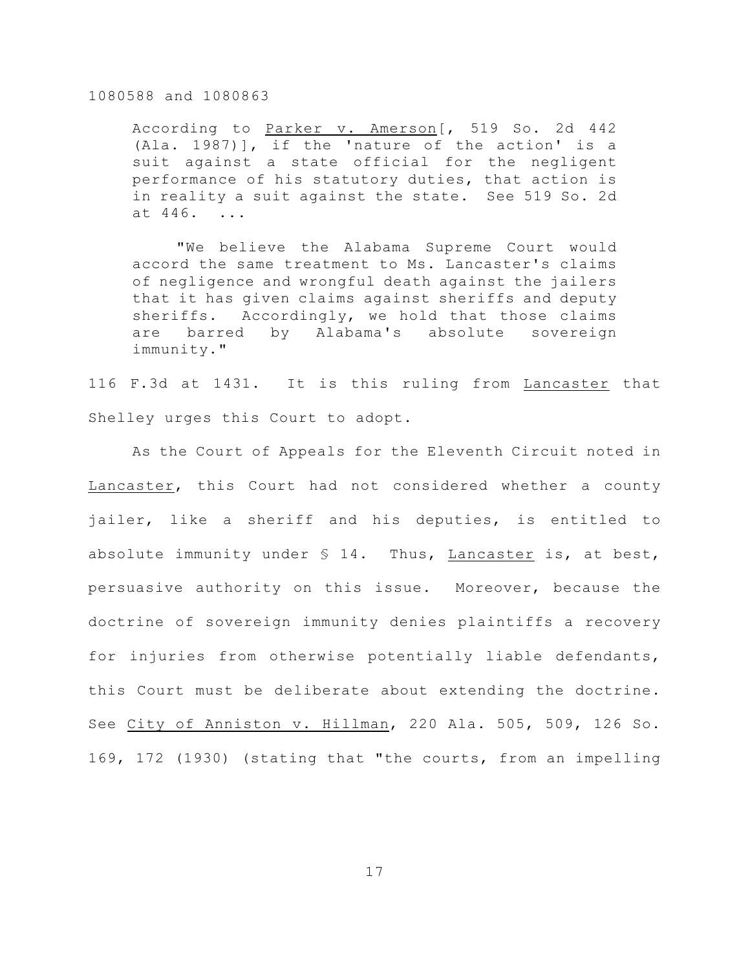According to Parker v. Amerson [, 519 So. 2d 442 (Ala. 1987)], if the 'nature of the action' is a suit against a state official for the negligent performance of his statutory duties, that action is in reality a suit against the state. See 519 So. 2d at 446. ...

"We believe the Alabama Supreme Court would accord the same treatment to Ms. Lancaster's claims of negligence and wrongful death against the jailers that it has given claims against sheriffs and deputy sheriffs. Accordingly, we hold that those claims are barred by Alabama's absolute sovereign immunity."

116 F.3d at 1431. It is this ruling from Lancaster that Shelley urges this Court to adopt.

As the Court of Appeals for the Eleventh Circuit noted in Lancaster, this Court had not considered whether a county jailer, like a sheriff and his deputies, is entitled to absolute immunity under  $S$  14. Thus, Lancaster is, at best, persuasive authority on this issue. Moreover, because the doctrine of sovereign immunity denies plaintiffs a recovery for injuries from otherwise potentially liable defendants, this Court must be deliberate about extending the doctrine. See City of Anniston v. Hillman, 220 Ala. 505, 509, 126 So. 169, 172 (1930) (stating that "the courts, from an impelling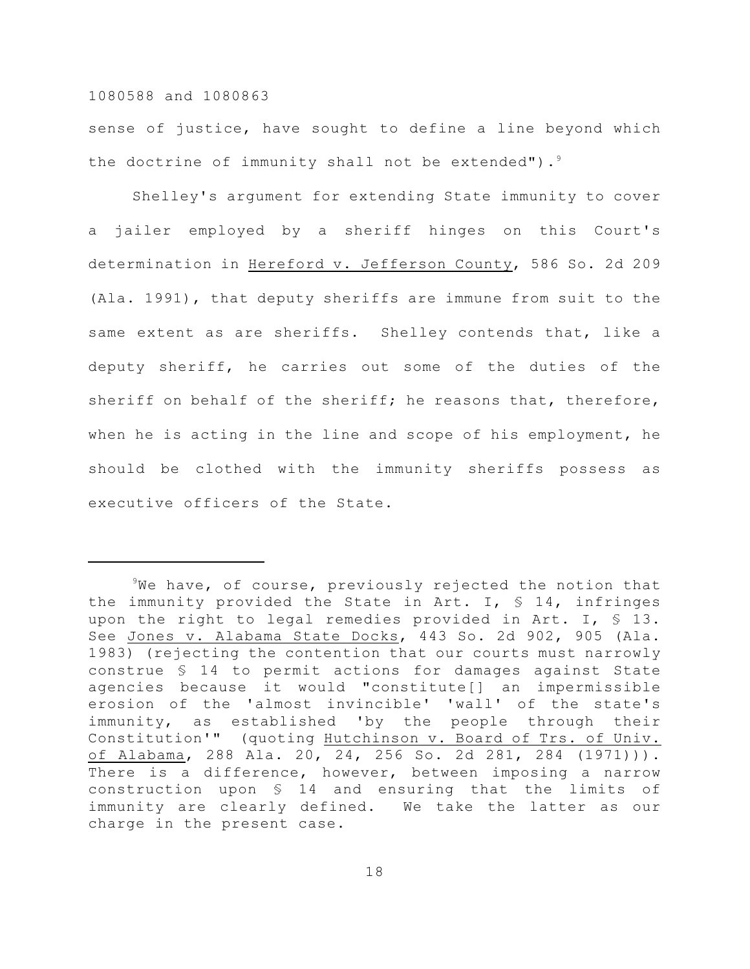sense of justice, have sought to define a line beyond which the doctrine of immunity shall not be extended"). $9$ 

Shelley's argument for extending State immunity to cover a jailer employed by a sheriff hinges on this Court's determination in Hereford v. Jefferson County, 586 So. 2d 209 (Ala. 1991), that deputy sheriffs are immune from suit to the same extent as are sheriffs. Shelley contends that, like a deputy sheriff, he carries out some of the duties of the sheriff on behalf of the sheriff; he reasons that, therefore, when he is acting in the line and scope of his employment, he should be clothed with the immunity sheriffs possess as executive officers of the State.

 $9$ We have, of course, previously rejected the notion that the immunity provided the State in Art. I,  $\frac{1}{5}$  14, infringes upon the right to legal remedies provided in Art. I, § 13. See Jones v. Alabama State Docks, 443 So. 2d 902, 905 (Ala. 1983) (rejecting the contention that our courts must narrowly construe § 14 to permit actions for damages against State agencies because it would "constitute[] an impermissible erosion of the 'almost invincible' 'wall' of the state's immunity, as established 'by the people through their Constitution'" (quoting Hutchinson v. Board of Trs. of Univ. of Alabama, 288 Ala. 20, 24, 256 So. 2d 281, 284 (1971))). There is a difference, however, between imposing a narrow construction upon § 14 and ensuring that the limits of immunity are clearly defined. We take the latter as our charge in the present case.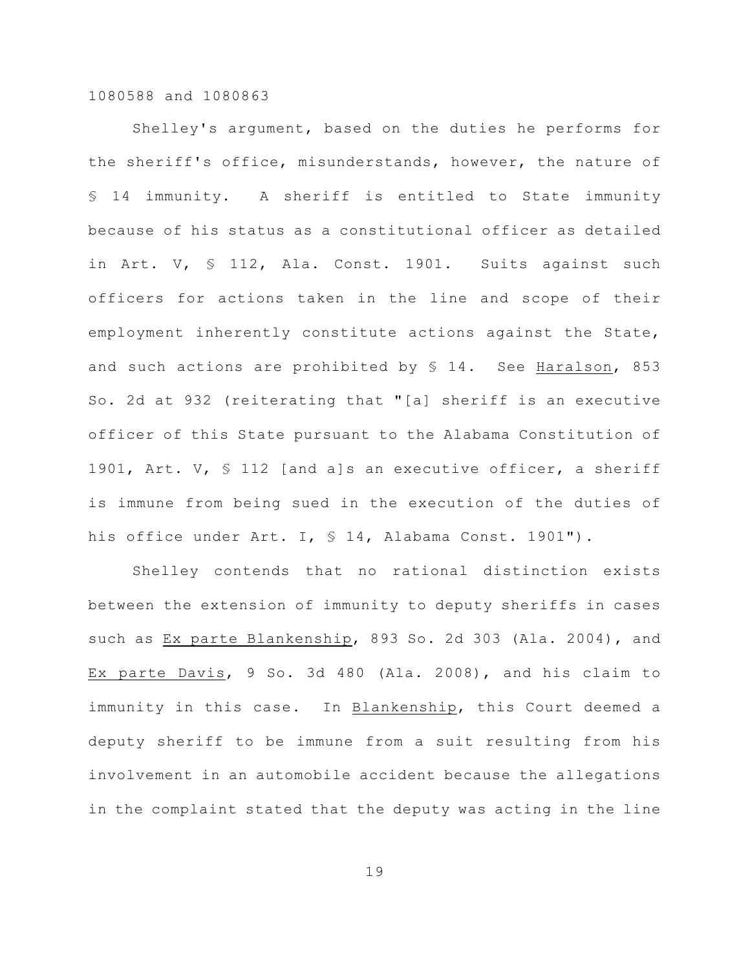Shelley's argument, based on the duties he performs for the sheriff's office, misunderstands, however, the nature of § 14 immunity. A sheriff is entitled to State immunity because of his status as a constitutional officer as detailed in Art. V, § 112, Ala. Const. 1901. Suits against such officers for actions taken in the line and scope of their employment inherently constitute actions against the State, and such actions are prohibited by  $$14.$  See Haralson, 853 So. 2d at 932 (reiterating that "[a] sheriff is an executive officer of this State pursuant to the Alabama Constitution of 1901, Art. V, § 112 [and a]s an executive officer, a sheriff is immune from being sued in the execution of the duties of his office under Art. I, § 14, Alabama Const. 1901").

Shelley contends that no rational distinction exists between the extension of immunity to deputy sheriffs in cases such as Ex parte Blankenship, 893 So. 2d 303 (Ala. 2004), and Ex parte Davis, 9 So. 3d 480 (Ala. 2008), and his claim to immunity in this case. In Blankenship, this Court deemed a deputy sheriff to be immune from a suit resulting from his involvement in an automobile accident because the allegations in the complaint stated that the deputy was acting in the line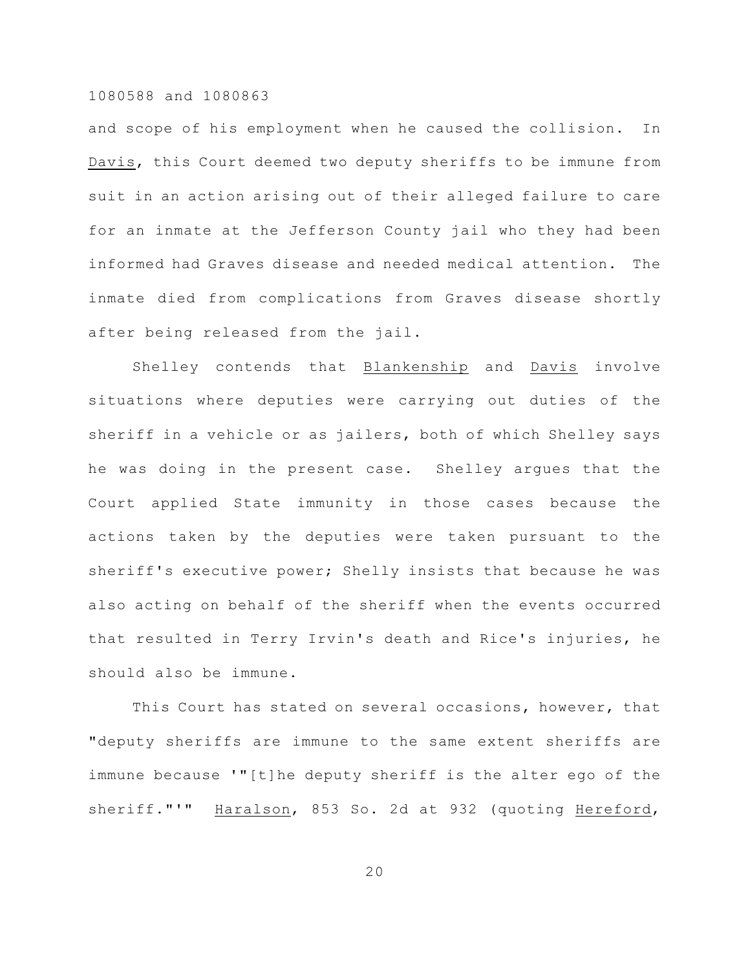and scope of his employment when he caused the collision. In Davis, this Court deemed two deputy sheriffs to be immune from suit in an action arising out of their alleged failure to care for an inmate at the Jefferson County jail who they had been informed had Graves disease and needed medical attention. The inmate died from complications from Graves disease shortly after being released from the jail.

Shelley contends that Blankenship and Davis involve situations where deputies were carrying out duties of the sheriff in a vehicle or as jailers, both of which Shelley says he was doing in the present case. Shelley argues that the Court applied State immunity in those cases because the actions taken by the deputies were taken pursuant to the sheriff's executive power; Shelly insists that because he was also acting on behalf of the sheriff when the events occurred that resulted in Terry Irvin's death and Rice's injuries, he should also be immune.

This Court has stated on several occasions, however, that "deputy sheriffs are immune to the same extent sheriffs are immune because '"[t]he deputy sheriff is the alter ego of the sheriff."'" Haralson, 853 So. 2d at 932 (quoting Hereford,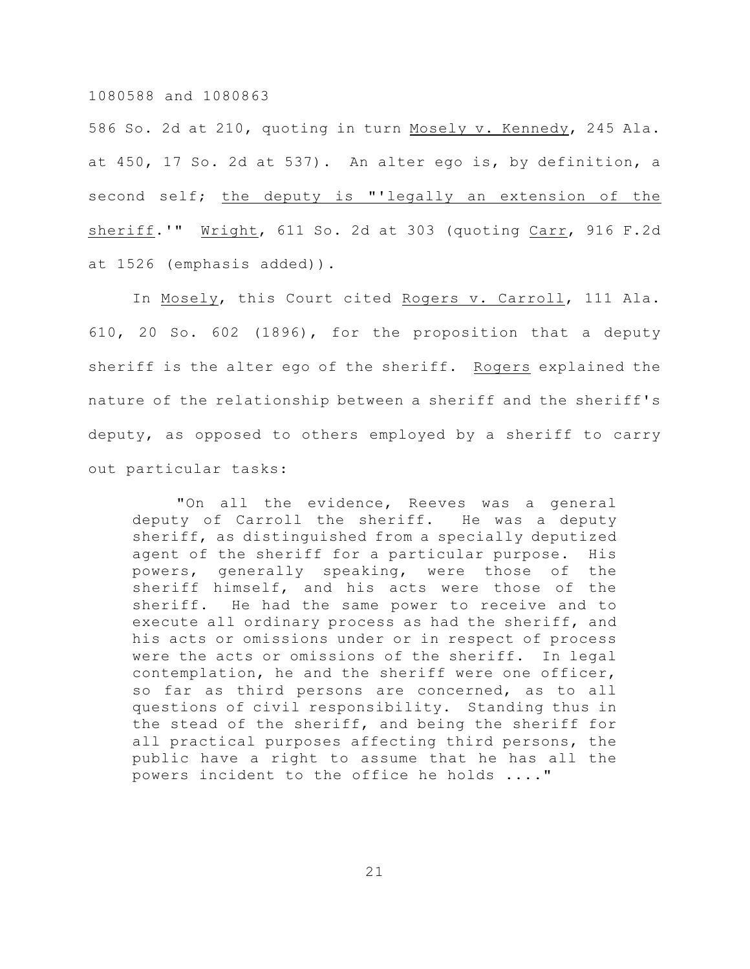586 So. 2d at 210, quoting in turn Mosely v. Kennedy, 245 Ala. at 450, 17 So. 2d at 537). An alter ego is, by definition, a second self; the deputy is "'legally an extension of the sheriff.'" Wright, 611 So. 2d at 303 (quoting Carr, 916 F.2d at 1526 (emphasis added)).

In Mosely, this Court cited Rogers v. Carroll, 111 Ala. 610, 20 So. 602 (1896), for the proposition that a deputy sheriff is the alter ego of the sheriff. Rogers explained the nature of the relationship between a sheriff and the sheriff's deputy, as opposed to others employed by a sheriff to carry out particular tasks:

"On all the evidence, Reeves was a general deputy of Carroll the sheriff. He was a deputy sheriff, as distinguished from a specially deputized agent of the sheriff for a particular purpose. His powers, generally speaking, were those of the sheriff himself, and his acts were those of the sheriff. He had the same power to receive and to execute all ordinary process as had the sheriff, and his acts or omissions under or in respect of process were the acts or omissions of the sheriff. In legal contemplation, he and the sheriff were one officer, so far as third persons are concerned, as to all questions of civil responsibility. Standing thus in the stead of the sheriff, and being the sheriff for all practical purposes affecting third persons, the public have a right to assume that he has all the powers incident to the office he holds ...."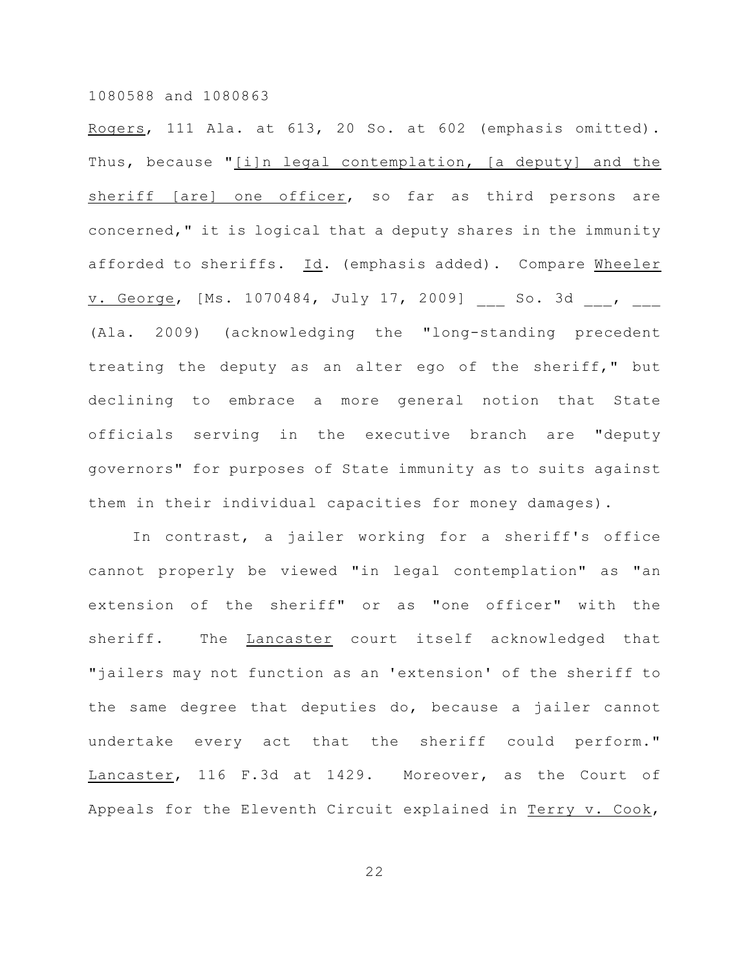Rogers, 111 Ala. at 613, 20 So. at 602 (emphasis omitted). Thus, because "[i]n legal contemplation, [a deputy] and the sheriff [are] one officer, so far as third persons are concerned," it is logical that a deputy shares in the immunity afforded to sheriffs. Id. (emphasis added). Compare Wheeler v. George, [Ms. 1070484, July 17, 2009] \_\_\_ So. 3d \_\_\_, \_\_\_ (Ala. 2009) (acknowledging the "long-standing precedent treating the deputy as an alter ego of the sheriff," but declining to embrace a more general notion that State officials serving in the executive branch are "deputy governors" for purposes of State immunity as to suits against them in their individual capacities for money damages).

In contrast, a jailer working for a sheriff's office cannot properly be viewed "in legal contemplation" as "an extension of the sheriff" or as "one officer" with the sheriff. The Lancaster court itself acknowledged that "jailers may not function as an 'extension' of the sheriff to the same degree that deputies do, because a jailer cannot undertake every act that the sheriff could perform." Lancaster, 116 F.3d at 1429. Moreover, as the Court of Appeals for the Eleventh Circuit explained in Terry v. Cook,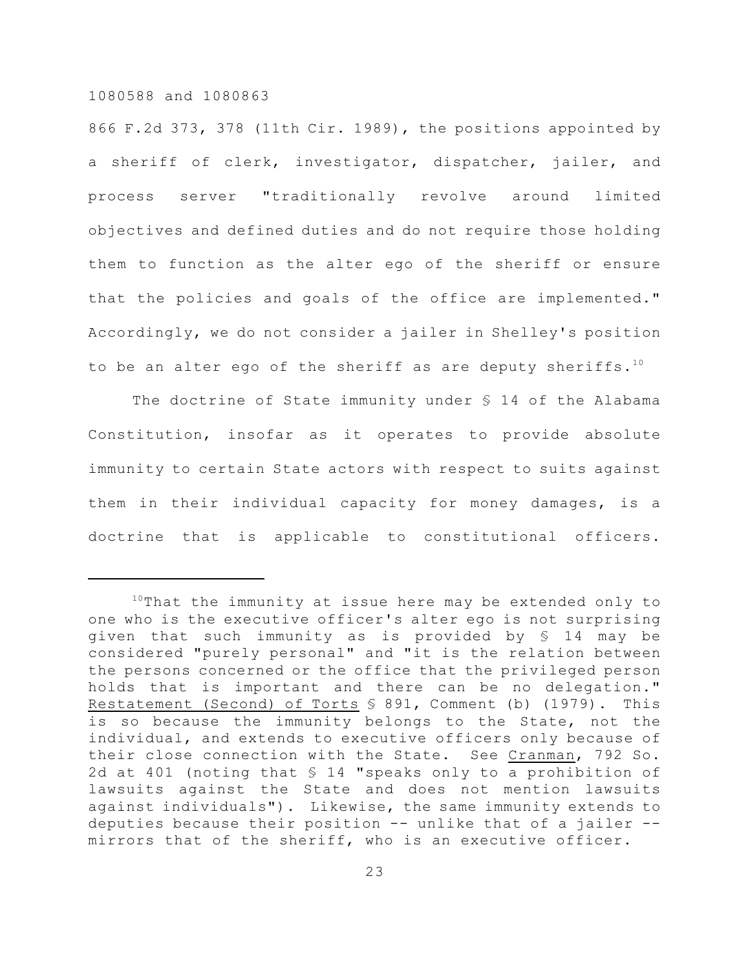866 F.2d 373, 378 (11th Cir. 1989), the positions appointed by a sheriff of clerk, investigator, dispatcher, jailer, and process server "traditionally revolve around limited objectives and defined duties and do not require those holding them to function as the alter ego of the sheriff or ensure that the policies and goals of the office are implemented." Accordingly, we do not consider a jailer in Shelley's position to be an alter ego of the sheriff as are deputy sheriffs.<sup>10</sup>

The doctrine of State immunity under § 14 of the Alabama Constitution, insofar as it operates to provide absolute immunity to certain State actors with respect to suits against them in their individual capacity for money damages, is a doctrine that is applicable to constitutional officers.

 $10$ That the immunity at issue here may be extended only to one who is the executive officer's alter ego is not surprising given that such immunity as is provided by § 14 may be considered "purely personal" and "it is the relation between the persons concerned or the office that the privileged person holds that is important and there can be no delegation." Restatement (Second) of Torts § 891, Comment (b) (1979). This is so because the immunity belongs to the State, not the individual, and extends to executive officers only because of their close connection with the State. See Cranman, 792 So. 2d at 401 (noting that § 14 "speaks only to a prohibition of lawsuits against the State and does not mention lawsuits against individuals"). Likewise, the same immunity extends to deputies because their position -- unlike that of a jailer - mirrors that of the sheriff, who is an executive officer.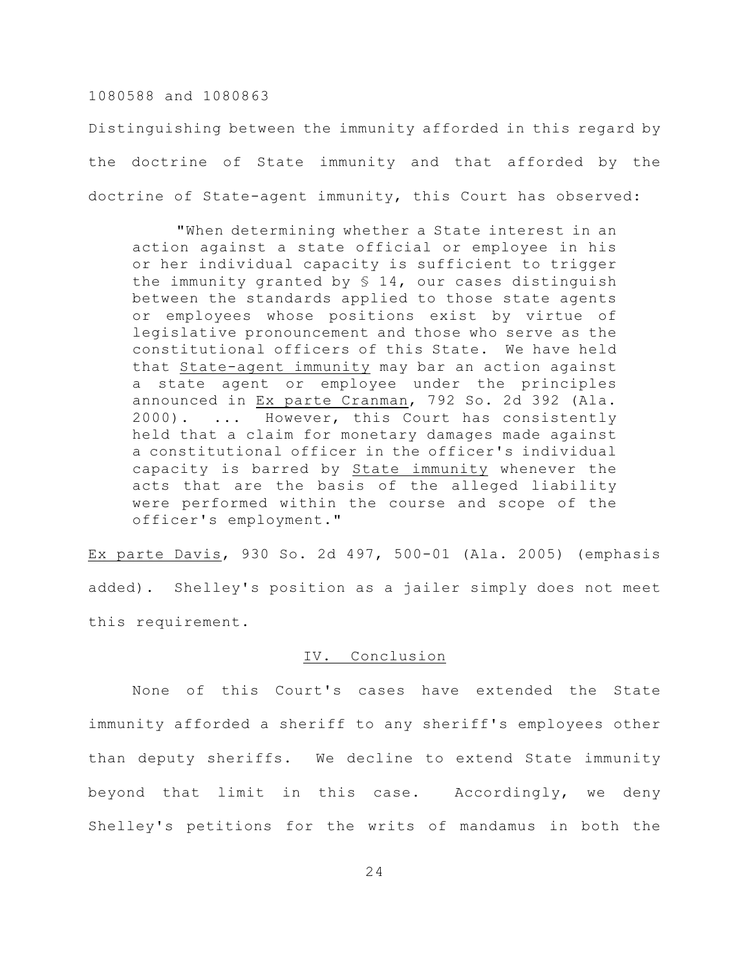Distinguishing between the immunity afforded in this regard by the doctrine of State immunity and that afforded by the doctrine of State-agent immunity, this Court has observed:

"When determining whether a State interest in an action against a state official or employee in his or her individual capacity is sufficient to trigger the immunity granted by § 14, our cases distinguish between the standards applied to those state agents or employees whose positions exist by virtue of legislative pronouncement and those who serve as the constitutional officers of this State. We have held that State-agent immunity may bar an action against state agent or employee under the principles announced in Ex parte Cranman, 792 So. 2d 392 (Ala. 2000). ... However, this Court has consistently held that a claim for monetary damages made against a constitutional officer in the officer's individual capacity is barred by State immunity whenever the acts that are the basis of the alleged liability were performed within the course and scope of the officer's employment."

Ex parte Davis, 930 So. 2d 497, 500-01 (Ala. 2005) (emphasis added). Shelley's position as a jailer simply does not meet this requirement.

#### IV. Conclusion

None of this Court's cases have extended the State immunity afforded a sheriff to any sheriff's employees other than deputy sheriffs. We decline to extend State immunity beyond that limit in this case. Accordingly, we deny Shelley's petitions for the writs of mandamus in both the